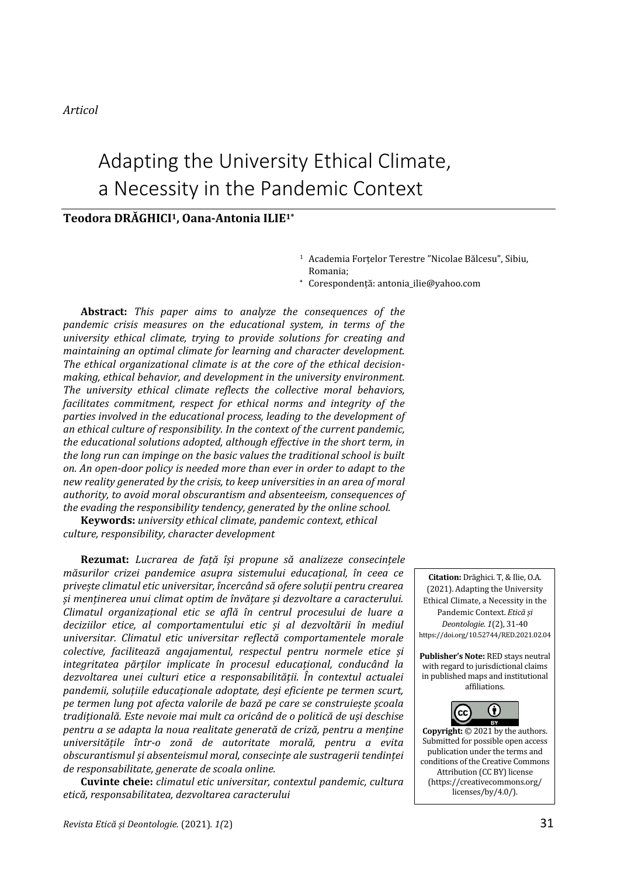*Articol* 

# Adapting the University Ethical Climate, a Necessity in the Pandemic Context

#### **Teodora DRĂGHICI1, Oana-Antonia ILIE1\***

<sup>1</sup> Academia Forţelor Terestre "Nicolae Bălcesu", Sibiu, Romania;

**\*** Corespondenţă: antonia\_ilie@yahoo.com

**Abstract:** *This paper aims to analyze the consequences of the pandemic crisis measures on the educational system, in terms of the university ethical climate, trying to provide solutions for creating and maintaining an optimal climate for learning and character development. The ethical organizational climate is at the core of the ethical decisionmaking, ethical behavior, and development in the university environment. The university ethical climate reflects the collective moral behaviors, facilitates commitment, respect for ethical norms and integrity of the parties involved in the educational process, leading to the development of an ethical culture of responsibility. In the context of the current pandemic, the educational solutions adopted, although effective in the short term, in the long run can impinge on the basic values the traditional school is built on. An open-door policy is needed more than ever in order to adapt to the new reality generated by the crisis, to keep universities in an area of moral authority, to avoid moral obscurantism and absenteeism, consequences of the evading the responsibility tendency, generated by the online school.*

**Keywords:** *university ethical climate, pandemic context, ethical culture, responsibility, character development* 

**Rezumat:** *Lucrarea de față își propune să analizeze consecințele măsurilor crizei pandemice asupra sistemului educațional, în ceea ce privește climatul etic universitar, încercând să ofere soluții pentru crearea și menținerea unui climat optim de învățare și dezvoltare a caracterului. Climatul organizațional etic se află în centrul procesului de luare a deciziilor etice, al comportamentului etic și al dezvoltării în mediul universitar. Climatul etic universitar reflectă comportamentele morale colective, facilitează angajamentul, respectul pentru normele etice și integritatea părților implicate în procesul educațional, conducând la dezvoltarea unei culturi etice a responsabilității. În contextul actualei pandemii, soluțiile educaționale adoptate, deși eficiente pe termen scurt, pe termen lung pot afecta valorile de bază pe care se construiește școala tradițională. Este nevoie mai mult ca oricând de o politică de uși deschise pentru a se adapta la noua realitate generată de criză, pentru a menține universitățile într-o zonă de autoritate morală, pentru a evita obscurantismul și absenteismul moral, consecințe ale sustragerii tendinței de responsabilitate, generate de scoala online.* 

**Cuvinte cheie:** *climatul etic universitar, contextul pandemic, cultura etică, responsabilitatea, dezvoltarea caracterului*

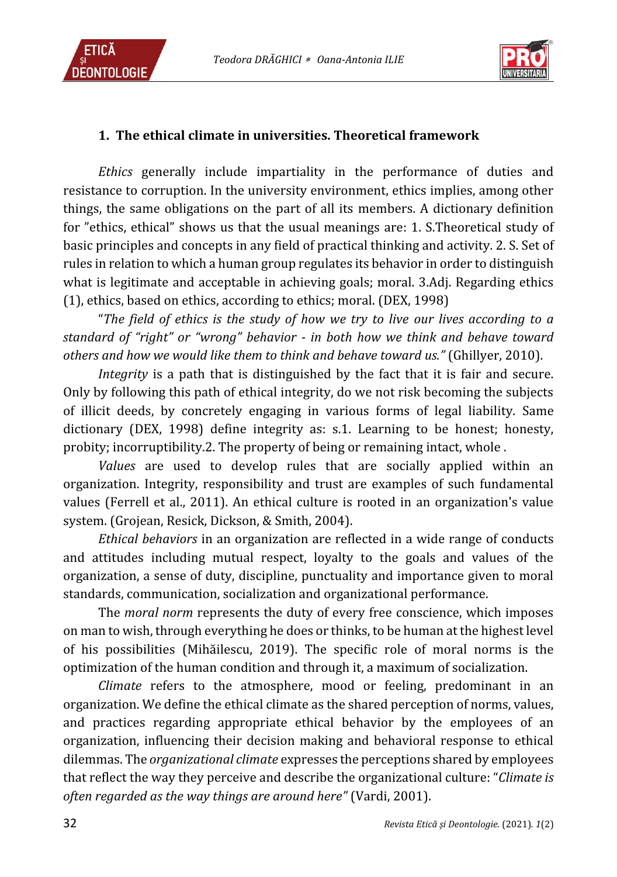



## **1. The ethical climate in universities. Theoretical framework**

*Ethics* generally include impartiality in the performance of duties and resistance to corruption. In the university environment, ethics implies, among other things, the same obligations on the part of all its members. A dictionary definition for "ethics, ethical" shows us that the usual meanings are: 1. S.Theoretical study of basic principles and concepts in any field of practical thinking and activity. 2. S. Set of rules in relation to which a human group regulates its behavior in order to distinguish what is legitimate and acceptable in achieving goals; moral. 3.Adj. Regarding ethics (1), ethics, based on ethics, according to ethics; moral. (DEX, 1998)

"*The field of ethics is the study of how we try to live our lives according to a standard of "right" or "wrong" behavior - in both how we think and behave toward others and how we would like them to think and behave toward us."* (Ghillyer, 2010).

*Integrity* is a path that is distinguished by the fact that it is fair and secure. Only by following this path of ethical integrity, do we not risk becoming the subjects of illicit deeds, by concretely engaging in various forms of legal liability. Same dictionary (DEX, 1998) define integrity as: s.1. Learning to be honest; honesty, probity; incorruptibility.2. The property of being or remaining intact, whole .

*Values* are used to develop rules that are socially applied within an organization. Integrity, responsibility and trust are examples of such fundamental values (Ferrell et al., 2011). An ethical culture is rooted in an organization's value system. (Grojean, Resick, Dickson, & Smith, 2004).

*Ethical behaviors* in an organization are reflected in a wide range of conducts and attitudes including mutual respect, loyalty to the goals and values of the organization, a sense of duty, discipline, punctuality and importance given to moral standards, communication, socialization and organizational performance.

The *moral norm* represents the duty of every free conscience, which imposes on man to wish, through everything he does or thinks, to be human at the highest level of his possibilities (Mihăilescu, 2019). The specific role of moral norms is the optimization of the human condition and through it, a maximum of socialization.

*Climate* refers to the atmosphere, mood or feeling, predominant in an organization. We define the ethical climate as the shared perception of norms, values, and practices regarding appropriate ethical behavior by the employees of an organization, influencing their decision making and behavioral response to ethical dilemmas. The *organizational climate* expresses the perceptions shared by employees that reflect the way they perceive and describe the organizational culture: "*Climate is often regarded as the way things are around here"* (Vardi, 2001).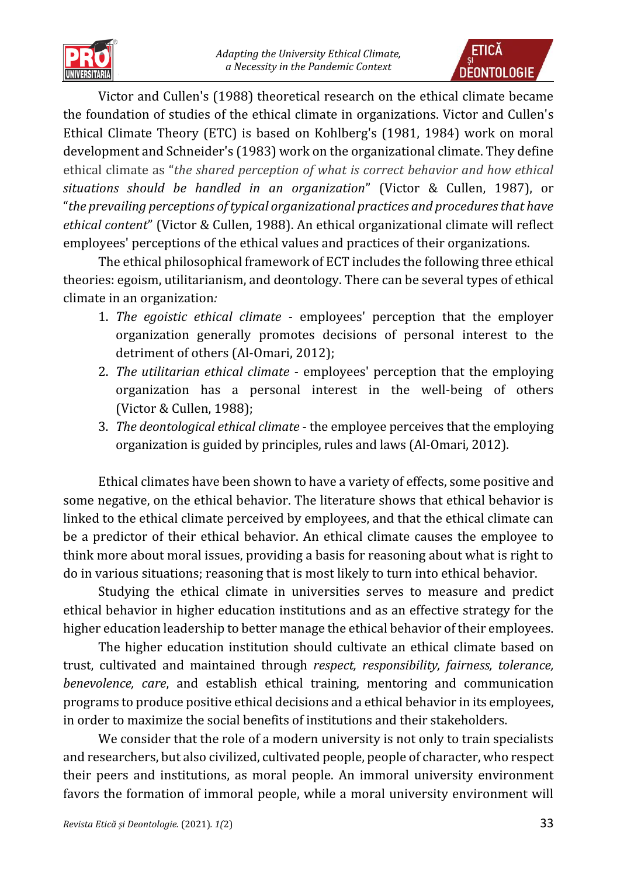



Victor and Cullen's (1988) theoretical research on the ethical climate became the foundation of studies of the ethical climate in organizations. Victor and Cullen's Ethical Climate Theory (ETC) is based on Kohlberg's (1981, 1984) work on moral development and Schneider's (1983) work on the organizational climate. They define ethical climate as "*the shared perception of what is correct behavior and how ethical situations should be handled in an organization*" (Victor & Cullen, [1987\)](https://www.cambridge.org/core/journals/business-ethics-quarterly/article/ethical-climates-in-organizations-a-review-and-research-agenda/E21AAB03364E78012713521132836A07#ref148), or "*the prevailing perceptions of typical organizational practices and procedures that have ethical content*" (Victor & Cullen, [1988\)](https://www.cambridge.org/core/journals/business-ethics-quarterly/article/ethical-climates-in-organizations-a-review-and-research-agenda/E21AAB03364E78012713521132836A07#ref149). An ethical organizational climate will reflect employees' perceptions of the ethical values and practices of their organizations.

The ethical philosophical framework of ECT includes the following three ethical theories: egoism, utilitarianism, and deontology. There can be several types of ethical climate in an organization*:*

- 1. *The egoistic ethical climate* employees' perception that the employer organization generally promotes decisions of personal interest to the detriment of others (Al-Omari, 2012);
- 2. *The utilitarian ethical climate* employees' perception that the employing organization has a personal interest in the well-being of others (Victor & Cullen, 1988);
- 3. *The deontological ethical climate* the employee perceives that the employing organization is guided by principles, rules and laws (Al-Omari, 2012).

Ethical climates have been shown to have a variety of effects, some positive and some negative, on the ethical behavior. The literature shows that ethical behavior is linked to the ethical climate perceived by employees, and that the ethical climate can be a predictor of their ethical behavior. An ethical climate causes the employee to think more about moral issues, providing a basis for reasoning about what is right to do in various situations; reasoning that is most likely to turn into ethical behavior.

Studying the ethical climate in universities serves to measure and predict ethical behavior in higher education institutions and as an effective strategy for the higher education leadership to better manage the ethical behavior of their employees.

The higher education institution should cultivate an ethical climate based on trust, cultivated and maintained through *respect, responsibility, fairness, tolerance, benevolence, care*, and establish ethical training, mentoring and communication programs to produce positive ethical decisions and a ethical behavior in its employees, in order to maximize the social benefits of institutions and their stakeholders.

We consider that the role of a modern university is not only to train specialists and researchers, but also civilized, cultivated people, people of character, who respect their peers and institutions, as moral people. An immoral university environment favors the formation of immoral people, while a moral university environment will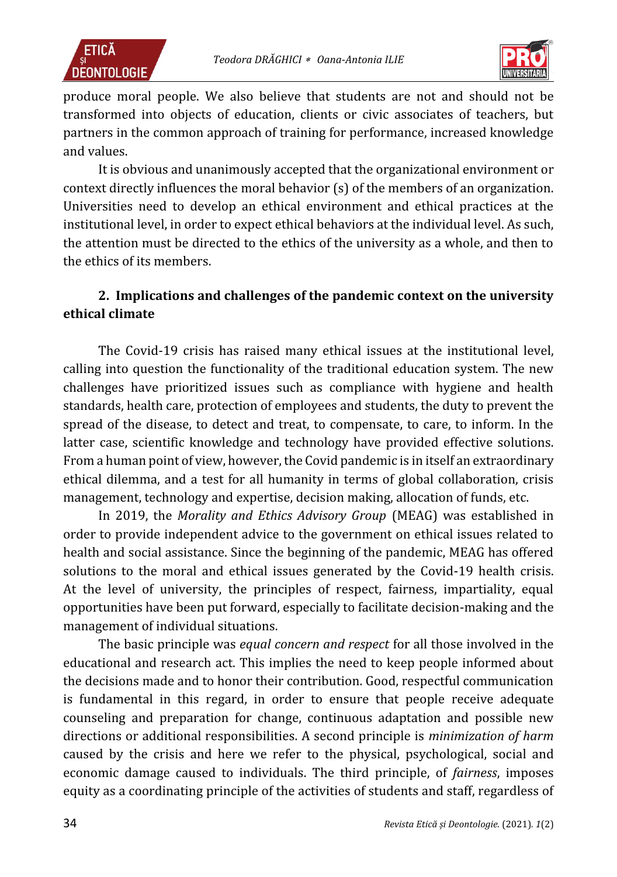



produce moral people. We also believe that students are not and should not be transformed into objects of education, clients or civic associates of teachers, but partners in the common approach of training for performance, increased knowledge and values.

It is obvious and unanimously accepted that the organizational environment or context directly influences the moral behavior (s) of the members of an organization. Universities need to develop an ethical environment and ethical practices at the institutional level, in order to expect ethical behaviors at the individual level. As such, the attention must be directed to the ethics of the university as a whole, and then to the ethics of its members.

## **2. Implications and challenges of the pandemic context on the university ethical climate**

The Covid-19 crisis has raised many ethical issues at the institutional level, calling into question the functionality of the traditional education system. The new challenges have prioritized issues such as compliance with hygiene and health standards, health care, protection of employees and students, the duty to prevent the spread of the disease, to detect and treat, to compensate, to care, to inform. In the latter case, scientific knowledge and technology have provided effective solutions. From a human point of view, however, the Covid pandemic is in itself an extraordinary ethical dilemma, and a test for all humanity in terms of global collaboration, crisis management, technology and expertise, decision making, allocation of funds, etc.

In 2019, the *Morality and Ethics Advisory Group* (MEAG) was established in order to provide independent advice to the government on ethical issues related to health and social assistance. Since the beginning of the pandemic, MEAG has offered solutions to the moral and ethical issues generated by the Covid-19 health crisis. At the level of university, the principles of respect, fairness, impartiality, equal opportunities have been put forward, especially to facilitate decision-making and the management of individual situations.

The basic principle was *equal concern and respect* for all those involved in the educational and research act. This implies the need to keep people informed about the decisions made and to honor their contribution. Good, respectful communication is fundamental in this regard, in order to ensure that people receive adequate counseling and preparation for change, continuous adaptation and possible new directions or additional responsibilities. A second principle is *minimization of harm* caused by the crisis and here we refer to the physical, psychological, social and economic damage caused to individuals. The third principle, of *fairness*, imposes equity as a coordinating principle of the activities of students and staff, regardless of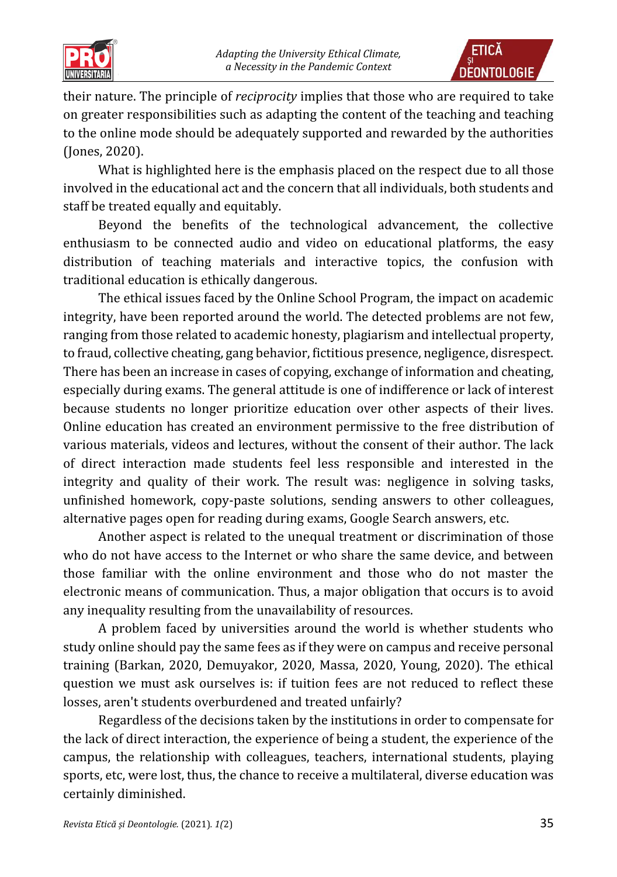



their nature. The principle of *reciprocity* implies that those who are required to take on greater responsibilities such as adapting the content of the teaching and teaching to the online mode should be adequately supported and rewarded by the authorities (Jones, 2020).

What is highlighted here is the emphasis placed on the respect due to all those involved in the educational act and the concern that all individuals, both students and staff be treated equally and equitably.

Beyond the benefits of the technological advancement, the collective enthusiasm to be connected audio and video on educational platforms, the easy distribution of teaching materials and interactive topics, the confusion with traditional education is ethically dangerous.

The ethical issues faced by the Online School Program, the impact on academic integrity, have been reported around the world. The detected problems are not few, ranging from those related to academic honesty, plagiarism and intellectual property, to fraud, collective cheating, gang behavior, fictitious presence, negligence, disrespect. There has been an increase in cases of copying, exchange of information and cheating, especially during exams. The general attitude is one of indifference or lack of interest because students no longer prioritize education over other aspects of their lives. Online education has created an environment permissive to the free distribution of various materials, videos and lectures, without the consent of their author. The lack of direct interaction made students feel less responsible and interested in the integrity and quality of their work. The result was: negligence in solving tasks, unfinished homework, copy-paste solutions, sending answers to other colleagues, alternative pages open for reading during exams, Google Search answers, etc.

Another aspect is related to the unequal treatment or discrimination of those who do not have access to the Internet or who share the same device, and between those familiar with the online environment and those who do not master the electronic means of communication. Thus, a major obligation that occurs is to avoid any inequality resulting from the unavailability of resources.

A problem faced by universities around the world is whether students who study online should pay the same fees as if they were on campus and receive personal training (Barkan, 2020, Demuyakor, 2020, Massa, 2020, Young, 2020). The ethical question we must ask ourselves is: if tuition fees are not reduced to reflect these losses, aren't students overburdened and treated unfairly?

Regardless of the decisions taken by the institutions in order to compensate for the lack of direct interaction, the experience of being a student, the experience of the campus, the relationship with colleagues, teachers, international students, playing sports, etc, were lost, thus, the chance to receive a multilateral, diverse education was certainly diminished.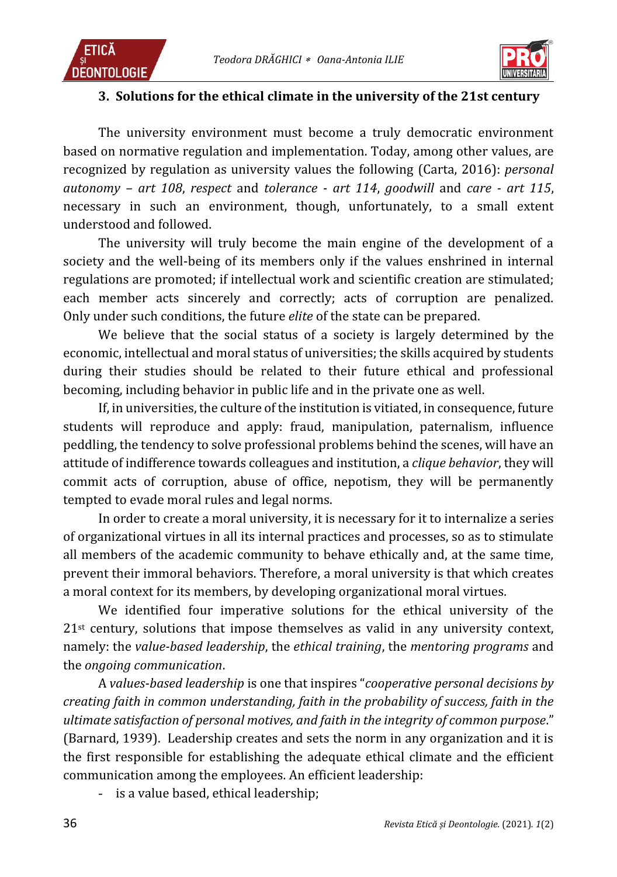



### **3. Solutions for the ethical climate in the university of the 21st century**

The university environment must become a truly democratic environment based on normative regulation and implementation. Today, among other values, are recognized by regulation as university values the following (Carta, 2016): *personal autonomy – art 108*, *respect* and *tolerance - art 114*, *goodwill* and *care - art 115*, necessary in such an environment, though, unfortunately, to a small extent understood and followed.

The university will truly become the main engine of the development of a society and the well-being of its members only if the values enshrined in internal regulations are promoted; if intellectual work and scientific creation are stimulated; each member acts sincerely and correctly; acts of corruption are penalized. Only under such conditions, the future *elite* of the state can be prepared.

We believe that the social status of a society is largely determined by the economic, intellectual and moral status of universities; the skills acquired by students during their studies should be related to their future ethical and professional becoming, including behavior in public life and in the private one as well.

If, in universities, the culture of the institution is vitiated, in consequence, future students will reproduce and apply: fraud, manipulation, paternalism, influence peddling, the tendency to solve professional problems behind the scenes, will have an attitude of indifference towards colleagues and institution, a *clique behavior*, they will commit acts of corruption, abuse of office, nepotism, they will be permanently tempted to evade moral rules and legal norms.

In order to create a moral university, it is necessary for it to internalize a series of organizational virtues in all its internal practices and processes, so as to stimulate all members of the academic community to behave ethically and, at the same time, prevent their immoral behaviors. Therefore, a moral university is that which creates a moral context for its members, by developing organizational moral virtues.

We identified four imperative solutions for the ethical university of the  $21<sup>st</sup>$  century, solutions that impose themselves as valid in any university context, namely: the *value-based leadership*, the *ethical training*, the *mentoring programs* and the *ongoing communication*.

A *values-based leadership* is one that inspires "*cooperative personal decisions by creating faith in common understanding, faith in the probability of success, faith in the ultimate satisfaction of personal motives, and faith in the integrity of common purpose*." (Barnard, 1939). Leadership creates and sets the norm in any organization and it is the first responsible for establishing the adequate ethical climate and the efficient communication among the employees. An efficient leadership:

- is a value based, ethical leadership;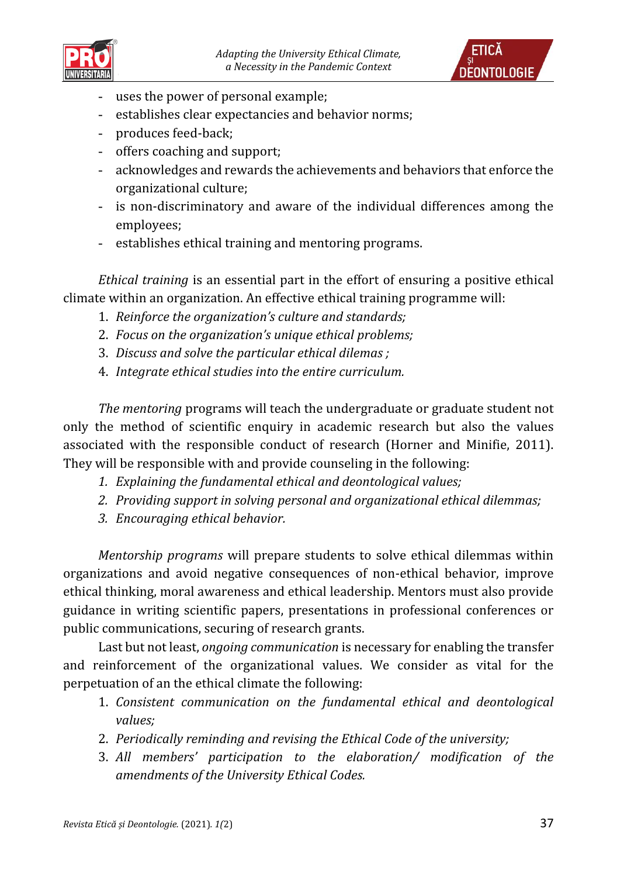



- uses the power of personal example;
- establishes clear expectancies and behavior norms;
- produces feed-back;
- offers coaching and support;
- acknowledges and rewards the achievements and behaviors that enforce the organizational culture;
- is non-discriminatory and aware of the individual differences among the employees;
- establishes ethical training and mentoring programs.

*Ethical training* is an essential part in the effort of ensuring a positive ethical climate within an organization. An effective ethical training programme will:

- 1. *Reinforce the organization's culture and standards;*
- 2. *Focus on the organization's unique ethical problems;*
- 3. *Discuss and solve the particular ethical dilemas ;*
- 4. *Integrate ethical studies into the entire curriculum.*

*The mentoring* programs will teach the undergraduate or graduate student not only the method of scientific enquiry in academic research but also the values associated with the responsible conduct of research (Horner and Minifie, 2011). They will be responsible with and provide counseling in the following:

- *1. Explaining the fundamental ethical and deontological values;*
- *2. Providing support in solving personal and organizational ethical dilemmas;*
- *3. Encouraging ethical behavior.*

*Mentorship programs* will prepare students to solve ethical dilemmas within organizations and avoid negative consequences of non-ethical behavior, improve ethical thinking, moral awareness and ethical leadership. Mentors must also provide guidance in writing scientific papers, presentations in professional conferences or public communications, securing of research grants.

Last but not least, *ongoing communication* is necessary for enabling the transfer and reinforcement of the organizational values. We consider as vital for the perpetuation of an the ethical climate the following:

- 1. *Consistent communication on the fundamental ethical and deontological values;*
- 2. *Periodically reminding and revising the Ethical Code of the university;*
- 3. *All members' participation to the elaboration/ modification of the amendments of the University Ethical Codes.*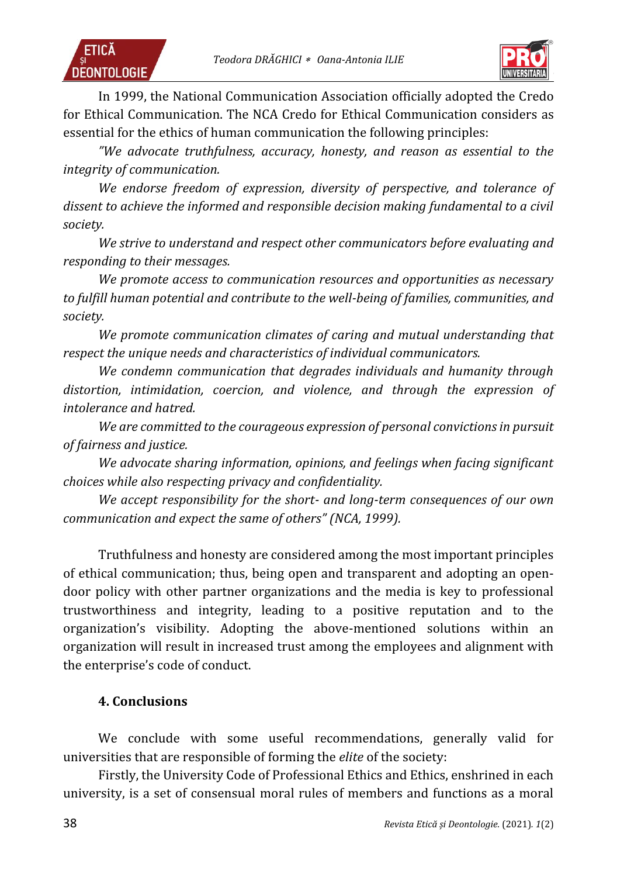



In 1999, the National Communication Association officially adopted the Credo for Ethical Communication. The NCA Credo for Ethical Communication considers as essential for the ethics of human communication the following principles:

*"We advocate truthfulness, accuracy, honesty, and reason as essential to the integrity of communication.*

*We endorse freedom of expression, diversity of perspective, and tolerance of dissent to achieve the informed and responsible decision making fundamental to a civil society.*

*We strive to understand and respect other communicators before evaluating and responding to their messages.*

*We promote access to communication resources and opportunities as necessary to fulfill human potential and contribute to the well-being of families, communities, and society.*

*We promote communication climates of caring and mutual understanding that respect the unique needs and characteristics of individual communicators.*

*We condemn communication that degrades individuals and humanity through distortion, intimidation, coercion, and violence, and through the expression of intolerance and hatred.*

*We are committed to the courageous expression of personal convictions in pursuit of fairness and justice.*

*We advocate sharing information, opinions, and feelings when facing significant choices while also respecting privacy and confidentiality.*

*We accept responsibility for the short- and long-term consequences of our own communication and expect the same of others" (NCA, 1999).*

Truthfulness and honesty are considered among the most important principles of ethical communication; thus, being open and transparent and adopting an opendoor policy with other partner organizations and the media is key to professional trustworthiness and integrity, leading to a positive reputation and to the organization's visibility. Adopting the above-mentioned solutions within an organization will result in increased trust among the employees and alignment with the enterprise's code of conduct.

### **4. Conclusions**

We conclude with some useful recommendations, generally valid for universities that are responsible of forming the *elite* of the society:

Firstly, the University Code of Professional Ethics and Ethics, enshrined in each university, is a set of consensual moral rules of members and functions as a moral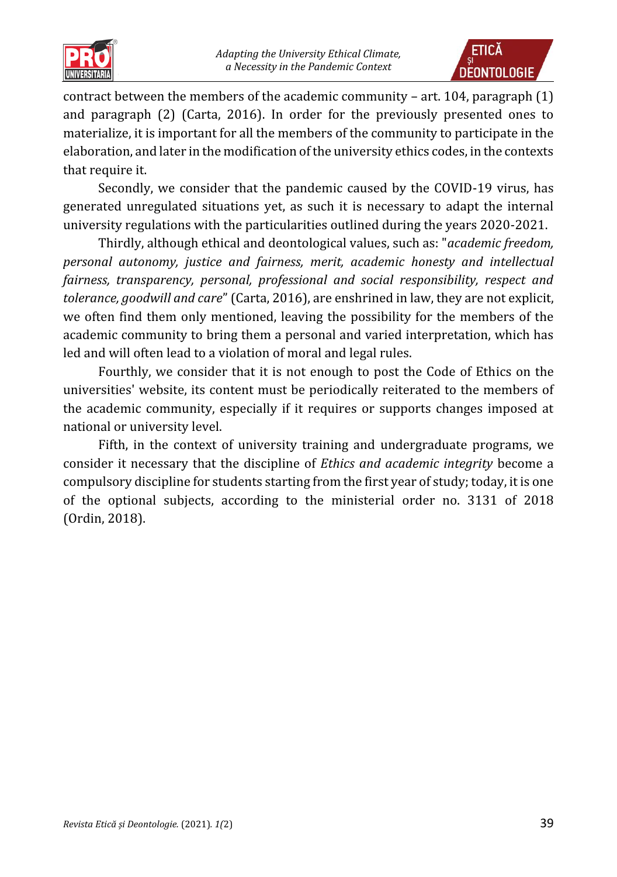



contract between the members of the academic community – art. 104, paragraph (1) and paragraph (2) (Carta, 2016). In order for the previously presented ones to materialize, it is important for all the members of the community to participate in the elaboration, and later in the modification of the university ethics codes, in the contexts that require it.

Secondly, we consider that the pandemic caused by the COVID-19 virus, has generated unregulated situations yet, as such it is necessary to adapt the internal university regulations with the particularities outlined during the years 2020-2021.

Thirdly, although ethical and deontological values, such as: "*academic freedom, personal autonomy, justice and fairness, merit, academic honesty and intellectual fairness, transparency, personal, professional and social responsibility, respect and tolerance, goodwill and care*" (Carta, 2016), are enshrined in law, they are not explicit, we often find them only mentioned, leaving the possibility for the members of the academic community to bring them a personal and varied interpretation, which has led and will often lead to a violation of moral and legal rules.

Fourthly, we consider that it is not enough to post the Code of Ethics on the universities' website, its content must be periodically reiterated to the members of the academic community, especially if it requires or supports changes imposed at national or university level.

Fifth, in the context of university training and undergraduate programs, we consider it necessary that the discipline of *Ethics and academic integrity* become a compulsory discipline for students starting from the first year of study; today, it is one of the optional subjects, according to the ministerial order no. 3131 of 2018 (Ordin, 2018).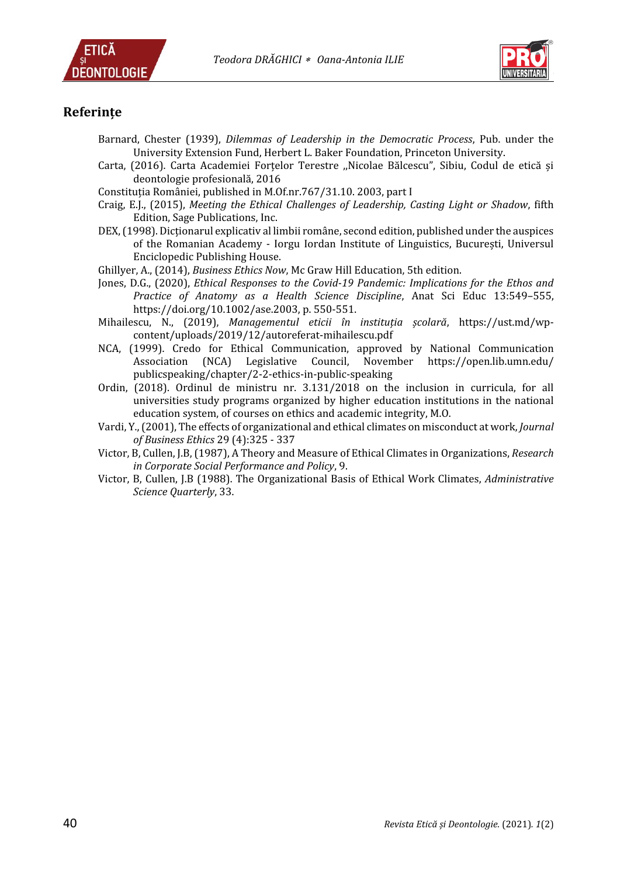



#### **Referințe**

- Barnard, Chester (1939), *Dilemmas of Leadership in the Democratic Process*, Pub. under the University Extension Fund, Herbert L. Baker Foundation, Princeton University.
- Carta, (2016). Carta Academiei Forţelor Terestre ,,Nicolae Bălcescu", Sibiu, Codul de etică și deontologie profesională, 2016
- Constitutia României, published in M.Of.nr.767/31.10. 2003, part I
- Craig, E.J., (2015), *Meeting the Ethical Challenges of Leadership, Casting Light or Shadow*, fifth Edition, Sage Publications, Inc.
- DEX, (1998). Dictionarul explicativ al limbii române, second edition, published under the auspices of the Romanian Academy - Iorgu Iordan Institute of Linguistics, București, Universul Enciclopedic Publishing House.
- Ghillyer, A., (2014), *Business Ethics Now*, Mc Graw Hill Education, 5th edition.
- [Jones,](https://anatomypubs.onlinelibrary.wiley.com/action/doSearch?ContribAuthorStored=Jones%2C+David+Gareth) D.G., (2020), *Ethical Responses to the Covid-19 Pandemic: Implications for the Ethos and Practice of Anatomy as a Health Science Discipline*, Anat Sci Educ 13:549–555, [https://doi.org/10.1002/ase.2003,](https://doi.org/10.1002/ase.2003) p. 550-551.
- Mihailescu, N., (2019), *Managementul eticii în instituția școlară*, [https://ust.md/wp](https://ust.md/wp-content/uploads/2019/12/autoreferat-mihailescu.pdf)[content/uploads/2019/12/autoreferat-mihailescu.pdf](https://ust.md/wp-content/uploads/2019/12/autoreferat-mihailescu.pdf)
- NCA, (1999). Credo for Ethical Communication, approved by National Communication Association (NCA) Legislative Council, November https://open.lib.umn.edu/ publicspeaking/chapter/2-2-ethics-in-public-speaking
- Ordin, (2018). Ordinul de ministru nr. 3.131/2018 on the inclusion in curricula, for all universities study programs organized by higher education institutions in the national education system, of courses on ethics and academic integrity, M.O.
- [Vardi,](https://philpapers.org/s/Yoav%20Vardi) Y., (2001), The effects of organizational and ethical climates on misconduct at work, *[Journal](https://philpapers.org/asearch.pl?pub=490)  [of Business Ethics](https://philpapers.org/asearch.pl?pub=490)* 29 (4):325 - 337
- Victor, B, Cullen, J.B, (1987), A Theory and Measure of Ethical Climates in Organizations, *Research in Corporate Social Performance and Policy*, 9.
- Victor, B, Cullen, J.B (1988). The Organizational Basis of Ethical Work Climates, *Administrative Science Quarterly*, 33.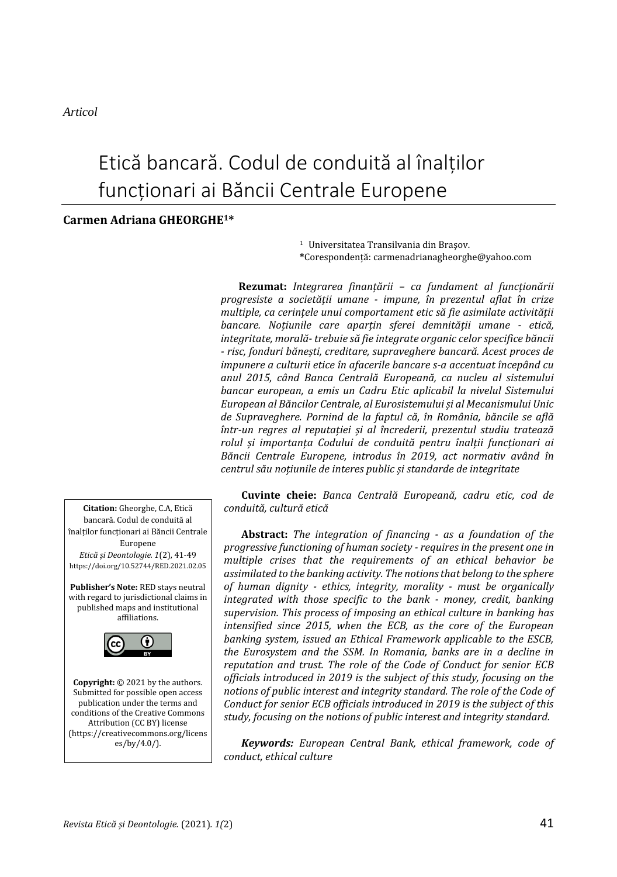*Articol* 

# Etică bancară. Codul de conduită al înalților funcționari ai Băncii Centrale Europene

#### **Carmen Adriana GHEORGHE1\***

<sup>1</sup> Universitatea Transilvania din Braşov. **\***Corespondenţă: carmenadrianagheorghe@yahoo.com

**Rezumat:** *Integrarea finanțării – ca fundament al funcționării progresiste a societății umane - impune, în prezentul aflat în crize multiple, ca cerințele unui comportament etic să fie asimilate activității bancare. Noțiunile care aparțin sferei demnității umane - etică, integritate, morală- trebuie să fie integrate organic celor specifice băncii - risc, fonduri bănești, creditare, supraveghere bancară. Acest proces de impunere a culturii etice în afacerile bancare s-a accentuat începând cu anul 2015, când Banca Centrală Europeană, ca nucleu al sistemului bancar european, a emis un Cadru Etic aplicabil la nivelul Sistemului European al Băncilor Centrale, al Eurosistemului și al Mecanismului Unic de Supraveghere. Pornind de la faptul că, în România, băncile se află într-un regres al reputației și al încrederii, prezentul studiu tratează rolul și importanța Codului de conduită pentru înalții funcționari ai Băncii Centrale Europene, introdus în 2019, act normativ având în centrul său noțiunile de interes public și standarde de integritate*

**Cuvinte cheie:** *Banca Centrală Europeană, cadru etic, cod de conduită, cultură etică*

**Abstract:** *The integration of financing - as a foundation of the progressive functioning of human society - requires in the present one in multiple crises that the requirements of an ethical behavior be assimilated to the banking activity. The notions that belong to the sphere of human dignity - ethics, integrity, morality - must be organically integrated with those specific to the bank - money, credit, banking supervision. This process of imposing an ethical culture in banking has intensified since 2015, when the ECB, as the core of the European banking system, issued an Ethical Framework applicable to the ESCB, the Eurosystem and the SSM. In Romania, banks are in a decline in reputation and trust. The role of the Code of Conduct for senior ECB officials introduced in 2019 is the subject of this study, focusing on the notions of public interest and integrity standard. The role of the Code of Conduct for senior ECB officials introduced in 2019 is the subject of this study, focusing on the notions of public interest and integrity standard.* 

*Keywords: European Central Bank, ethical framework, code of conduct, ethical culture* 



(https://creativecommons.org/licens es/by/4.0/).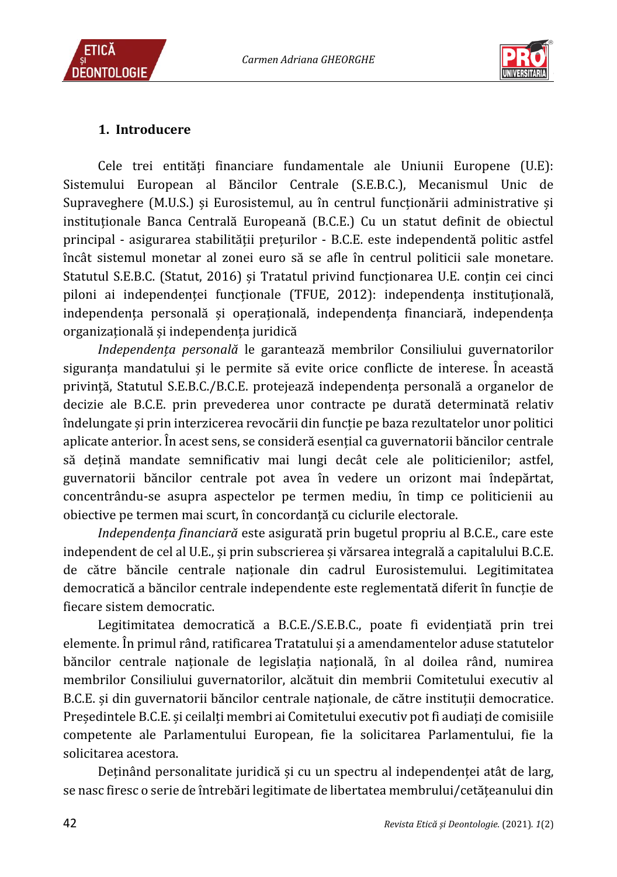*Carmen Adriana GHEORGHE*





## **1. Introducere**

Cele trei entităţi financiare fundamentale ale Uniunii Europene (U.E): Sistemului European al Băncilor Centrale (S.E.B.C.), Mecanismul Unic de Supraveghere (M.U.S.) și Eurosistemul, au în centrul funcţionării administrative și instituționale Banca Centrală Europeană (B.C.E.) Cu un statut definit de obiectul principal - asigurarea stabilităţii preţurilor - B.C.E. este independentă politic astfel încât sistemul monetar al zonei euro să se afle în centrul politicii sale monetare. Statutul S.E.B.C. (Statut, 2016) și Tratatul privind funcţionarea U.E. conţin cei cinci piloni ai independenței funcționale (TFUE, 2012): independența instituțională, independenţa personală și operaţională, independenţa financiară, independenţa organizaţională și independenţa juridică

*Independența personală* le garantează membrilor Consiliului guvernatorilor siguranţa mandatului și le permite să evite orice conflicte de interese. În această privinţă, Statutul S.E.B.C./B.C.E. protejează independenţa personală a organelor de decizie ale B.C.E. prin prevederea unor contracte pe durată determinată relativ îndelungate și prin interzicerea revocării din funcţie pe baza rezultatelor unor politici aplicate anterior. În acest sens, se consideră esenţial ca guvernatorii băncilor centrale să dețină mandate semnificativ mai lungi decât cele ale politicienilor; astfel, guvernatorii băncilor centrale pot avea în vedere un orizont mai îndepărtat, concentrându-se asupra aspectelor pe termen mediu, în timp ce politicienii au obiective pe termen mai scurt, în concordanţă cu ciclurile electorale.

*Independența financiară* este asigurată prin bugetul propriu al B.C.E., care este independent de cel al U.E., și prin subscrierea și vărsarea integrală a capitalului B.C.E. de către băncile centrale nationale din cadrul Eurosistemului. Legitimitatea democratică a băncilor centrale independente este reglementată diferit în funcție de fiecare sistem democratic.

Legitimitatea democratică a B.C.E./S.E.B.C., poate fi evidențiată prin trei elemente. În primul rând, ratificarea Tratatului și a amendamentelor aduse statutelor băncilor centrale naționale de legislația națională, în al doilea rând, numirea membrilor Consiliului guvernatorilor, alcătuit din membrii Comitetului executiv al B.C.E. și din guvernatorii băncilor centrale naţionale, de către instituţii democratice. Președintele B.C.E. și ceilalţi membri ai Comitetului executiv pot fi audiaţi de comisiile competente ale Parlamentului European, fie la solicitarea Parlamentului, fie la solicitarea acestora.

Deținând personalitate juridică și cu un spectru al independenței atât de larg, se nasc firesc o serie de întrebări legitimate de libertatea membrului/cetăţeanului din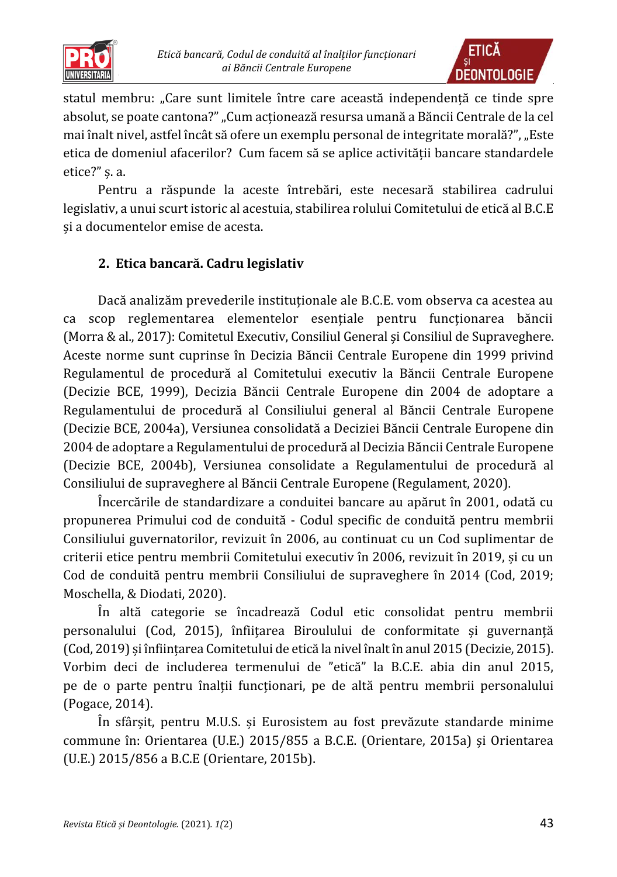



statul membru: "Care sunt limitele între care această independentă ce tinde spre absolut, se poate cantona?" "Cum acționează resursa umană a Băncii Centrale de la cel mai înalt nivel, astfel încât să ofere un exemplu personal de integritate morală?", "Este etica de domeniul afacerilor? Cum facem să se aplice activității bancare standardele etice?" ș. a.

Pentru a răspunde la aceste întrebări, este necesară stabilirea cadrului legislativ, a unui scurt istoric al acestuia, stabilirea rolului Comitetului de etică al B.C.E și a documentelor emise de acesta.

# **2. Etica bancară. Cadru legislativ**

Dacă analizăm prevederile instituţionale ale B.C.E. vom observa ca acestea au ca scop reglementarea elementelor esenţiale pentru funcţionarea băncii (Morra & al., 2017): Comitetul Executiv, Consiliul General și Consiliul de Supraveghere. Aceste norme sunt cuprinse în Decizia Băncii Centrale Europene din 1999 privind Regulamentul de procedură al Comitetului executiv la Băncii Centrale Europene (Decizie BCE, 1999), Decizia Băncii Centrale Europene din 2004 de adoptare a Regulamentului de procedură al Consiliului general al Băncii Centrale Europene (Decizie BCE, 2004a), Versiunea consolidată a Deciziei Băncii Centrale Europene din 2004 de adoptare a Regulamentului de procedură al Decizia Băncii Centrale Europene (Decizie BCE, 2004b), Versiunea consolidate a Regulamentului de procedură al Consiliului de supraveghere al Băncii Centrale Europene (Regulament, 2020).

Încercările de standardizare a conduitei bancare au apărut în 2001, odată cu propunerea Primului cod de conduită - Codul specific de conduită pentru membrii Consiliului guvernatorilor, revizuit în 2006, au continuat cu un Cod suplimentar de criterii etice pentru membrii Comitetului executiv în 2006, revizuit în 2019, și cu un Cod de conduită pentru membrii Consiliului de supraveghere în 2014 (Cod, 2019; Moschella, & Diodati, 2020).

În altă categorie se încadrează Codul etic consolidat pentru membrii personalului (Cod, 2015), înfiitarea Biroulului de conformitate și guvernanță (Cod, 2019) și înființarea Comitetului de etică la nivel înalt în anul 2015 (Decizie, 2015). Vorbim deci de includerea termenului de "etică" la B.C.E. abia din anul 2015, pe de o parte pentru înalţii funcţionari, pe de altă pentru membrii personalului (Pogace, 2014).

În sfârșit, pentru M.U.S. și Eurosistem au fost prevăzute standarde minime commune în: Orientarea (U.E.) 2015/855 a B.C.E. (Orientare, 2015a) și Orientarea (U.E.) 2015/856 a B.C.E (Orientare, 2015b).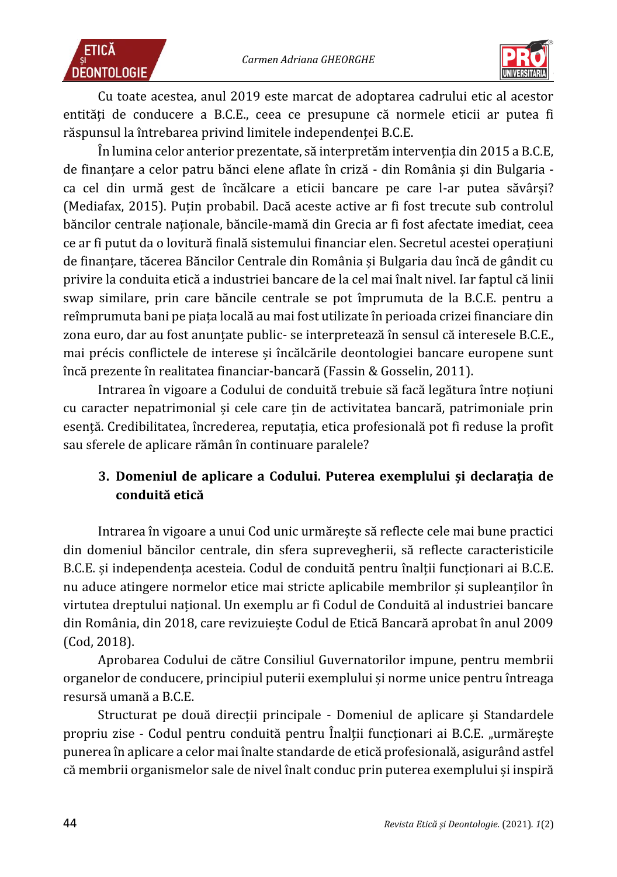



Cu toate acestea, anul 2019 este marcat de adoptarea cadrului etic al acestor entități de conducere a B.C.E., ceea ce presupune că normele eticii ar putea fi răspunsul la întrebarea privind limitele independenţei B.C.E.

În lumina celor anterior prezentate, să interpretăm intervenţia din 2015 a B.C.E, de finantare a celor patru bănci elene aflate în criză - din România și din Bulgaria ca cel din urmă gest de încălcare a eticii bancare pe care l-ar putea săvârși? (Mediafax, 2015). Puţin probabil. Dacă aceste active ar fi fost trecute sub controlul băncilor centrale naţionale, băncile-mamă din Grecia ar fi fost afectate imediat, ceea ce ar fi putut da o lovitură finală sistemului financiar elen. Secretul acestei operatiuni de finanţare, tăcerea Băncilor Centrale din România și Bulgaria dau încă de gândit cu privire la conduita etică a industriei bancare de la cel mai înalt nivel. Iar faptul că linii swap similare, prin care băncile centrale se pot împrumuta de la B.C.E. pentru a reîmprumuta bani pe piaţa locală au mai fost utilizate în perioada crizei financiare din zona euro, dar au fost anunţate public- se interpretează în sensul că interesele B.C.E., mai précis conflictele de interese și încălcările deontologiei bancare europene sunt încă prezente în realitatea financiar-bancară (Fassin & Gosselin, 2011).

Intrarea în vigoare a Codului de conduită trebuie să facă legătura între noţiuni cu caracter nepatrimonial și cele care ţin de activitatea bancară, patrimoniale prin esenţă. Credibilitatea, încrederea, reputaţia, etica profesională pot fi reduse la profit sau sferele de aplicare rămân în continuare paralele?

# **3. Domeniul de aplicare a Codului. Puterea exemplului și declarația de conduită etică**

Intrarea în vigoare a unui Cod unic urmărește să reflecte cele mai bune practici din domeniul băncilor centrale, din sfera suprevegherii, să reflecte caracteristicile B.C.E. și independența acesteia. Codul de conduită pentru înalții funcționari ai B.C.E. nu aduce atingere normelor etice mai stricte aplicabile membrilor și supleanţilor în virtutea dreptului naţional. Un exemplu ar fi Codul de Conduită al industriei bancare din România, din 2018, care revizuiește Codul de Etică Bancară aprobat în anul 2009 (Cod, 2018).

Aprobarea Codului de către Consiliul Guvernatorilor impune, pentru membrii organelor de conducere, principiul puterii exemplului și norme unice pentru întreaga resursă umană a B.C.E.

Structurat pe două direcții principale - Domeniul de aplicare și Standardele propriu zise - Codul pentru conduită pentru Înalții funcționari ai B.C.E. "urmărește punerea în aplicare a celor mai înalte standarde de etică profesională, asigurând astfel că membrii organismelor sale de nivel înalt conduc prin puterea exemplului și inspiră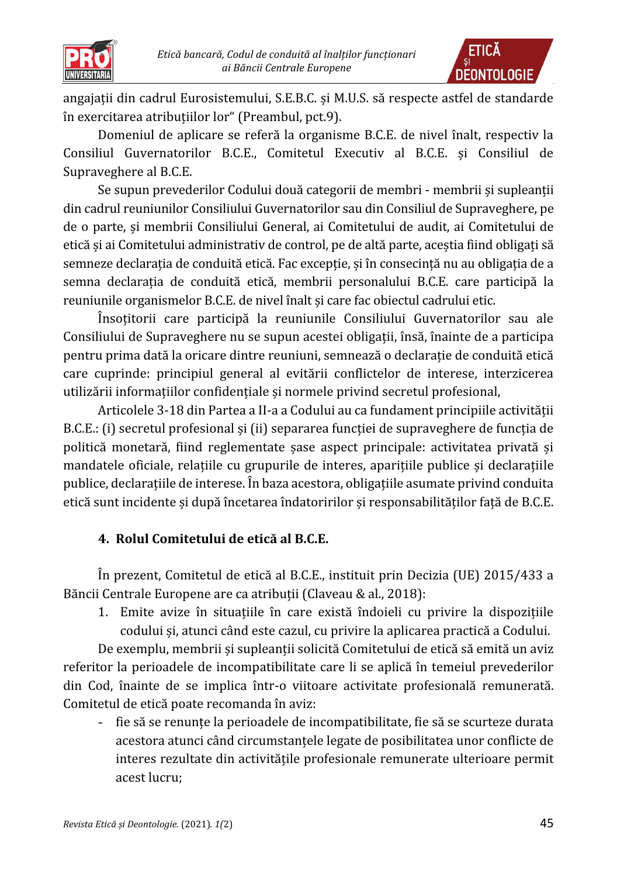

angajaţii din cadrul Eurosistemului, S.E.B.C. și M.U.S. să respecte astfel de standarde în exercitarea atribuţiilor lor" (Preambul, pct.9).

Domeniul de aplicare se referă la organisme B.C.E. de nivel înalt, respectiv la Consiliul Guvernatorilor B.C.E., Comitetul Executiv al B.C.E. și Consiliul de Supraveghere al B.C.E.

Se supun prevederilor Codului două categorii de membri - membrii și supleanţii din cadrul reuniunilor Consiliului Guvernatorilor sau din Consiliul de Supraveghere, pe de o parte, și membrii Consiliului General, ai Comitetului de audit, ai Comitetului de etică și ai Comitetului administrativ de control, pe de altă parte, aceștia fiind obligați să semneze declaratia de conduită etică. Fac exceptie, și în consecintă nu au obligatia de a semna declarația de conduită etică, membrii personalului B.C.E. care participă la reuniunile organismelor B.C.E. de nivel înalt și care fac obiectul cadrului etic.

Însoţitorii care participă la reuniunile Consiliului Guvernatorilor sau ale Consiliului de Supraveghere nu se supun acestei obligaţii, însă, înainte de a participa pentru prima dată la oricare dintre reuniuni, semnează o declaraţie de conduită etică care cuprinde: principiul general al evitării conflictelor de interese, interzicerea utilizării informaţiilor confidenţiale și normele privind secretul profesional,

Articolele 3-18 din Partea a II-a a Codului au ca fundament principiile activităţii B.C.E.: (i) secretul profesional și (ii) separarea funcției de supraveghere de funcția de politică monetară, fiind reglementate șase aspect principale: activitatea privată și mandatele oficiale, relaţiile cu grupurile de interes, apariţiile publice și declaraţiile publice, declaraţiile de interese. În baza acestora, obligaţiile asumate privind conduita etică sunt incidente și după încetarea îndatoririlor și responsabilităţilor faţă de B.C.E.

# **4. Rolul Comitetului de etică al B.C.E.**

În prezent, Comitetul de etică al B.C.E., instituit prin Decizia (UE) 2015/433 a Băncii Centrale Europene are ca atribuții (Claveau & al., 2018):

1. Emite avize în situatiile în care există îndoieli cu privire la dispozitiile codului și, atunci când este cazul, cu privire la aplicarea practică a Codului.

De exemplu, membrii și supleanții solicită Comitetului de etică să emită un aviz referitor la perioadele de incompatibilitate care li se aplică în temeiul prevederilor din Cod, înainte de se implica într-o viitoare activitate profesională remunerată. Comitetul de etică poate recomanda în aviz:

- fie să se renunte la perioadele de incompatibilitate, fie să se scurteze durata acestora atunci când circumstanţele legate de posibilitatea unor conflicte de interes rezultate din activităţile profesionale remunerate ulterioare permit acest lucru;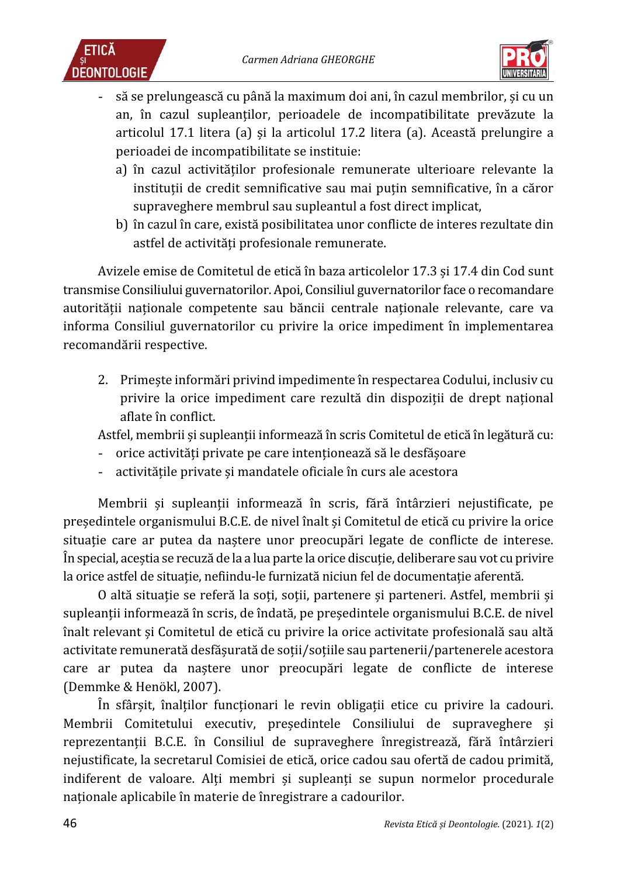



- să se prelungească cu până la maximum doi ani, în cazul membrilor, și cu un an, în cazul supleanţilor, perioadele de incompatibilitate prevăzute la articolul 17.1 litera (a) și la articolul 17.2 litera (a). Această prelungire a perioadei de incompatibilitate se instituie:
	- a) în cazul activităților profesionale remunerate ulterioare relevante la instituții de credit semnificative sau mai puțin semnificative, în a căror supraveghere membrul sau supleantul a fost direct implicat,
	- b) în cazul în care, există posibilitatea unor conflicte de interes rezultate din astfel de activități profesionale remunerate.

Avizele emise de Comitetul de etică în baza articolelor 17.3 și 17.4 din Cod sunt transmise Consiliului guvernatorilor. Apoi, Consiliul guvernatorilor face o recomandare autorității nationale competente sau băncii centrale nationale relevante, care va informa Consiliul guvernatorilor cu privire la orice impediment în implementarea recomandării respective.

2. Primește informări privind impedimente în respectarea Codului, inclusiv cu privire la orice impediment care rezultă din dispoziții de drept național aflate în conflict.

Astfel, membrii și supleanţii informează în scris Comitetul de etică în legătură cu:

- orice activităţi private pe care intenţionează să le desfășoare
- activitățile private și mandatele oficiale în curs ale acestora

Membrii și supleanţii informează în scris, fără întârzieri nejustificate, pe președintele organismului B.C.E. de nivel înalt și Comitetul de etică cu privire la orice situatie care ar putea da nastere unor preocupări legate de conflicte de interese. În special, aceștia se recuză de la a lua parte la orice discuţie, deliberare sau vot cu privire la orice astfel de situație, nefiindu-le furnizată niciun fel de documentație aferentă.

O altă situație se referă la soți, soții, partenere și parteneri. Astfel, membrii și supleanţii informează în scris, de îndată, pe președintele organismului B.C.E. de nivel înalt relevant și Comitetul de etică cu privire la orice activitate profesională sau altă activitate remunerată desfășurată de soţii/soţiile sau partenerii/partenerele acestora care ar putea da naștere unor preocupări legate de conflicte de interese (Demmke & Henökl, 2007).

În sfârșit, înalţilor funcţionari le revin obligaţii etice cu privire la cadouri. Membrii Comitetului executiv, președintele Consiliului de supraveghere și reprezentanţii B.C.E. în Consiliul de supraveghere înregistrează, fără întârzieri nejustificate, la secretarul Comisiei de etică, orice cadou sau ofertă de cadou primită, indiferent de valoare. Alţi membri și supleanţi se supun normelor procedurale naţionale aplicabile în materie de înregistrare a cadourilor.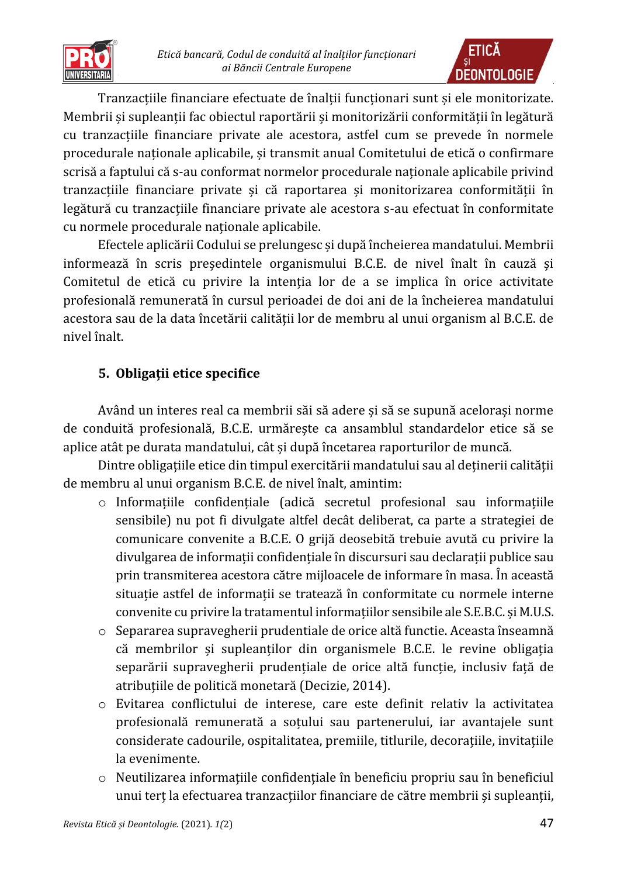

Tranzactiile financiare efectuate de înaltii functionari sunt și ele monitorizate. Membrii și supleanții fac obiectul raportării și monitorizării conformității în legătură cu tranzacţiile financiare private ale acestora, astfel cum se prevede în normele procedurale nationale aplicabile, și transmit anual Comitetului de etică o confirmare scrisă a faptului că s-au conformat normelor procedurale nationale aplicabile privind tranzacţiile financiare private și că raportarea și monitorizarea conformităţii în legătură cu tranzacțiile financiare private ale acestora s-au efectuat în conformitate cu normele procedurale naționale aplicabile.

Efectele aplicării Codului se prelungesc și după încheierea mandatului. Membrii informează în scris președintele organismului B.C.E. de nivel înalt în cauză și Comitetul de etică cu privire la intenția lor de a se implica în orice activitate profesională remunerată în cursul perioadei de doi ani de la încheierea mandatului acestora sau de la data încetării calităţii lor de membru al unui organism al B.C.E. de nivel înalt.

# **5. Obligații etice specifice**

Având un interes real ca membrii săi să adere și să se supună acelorași norme de conduită profesională, B.C.E. urmărește ca ansamblul standardelor etice să se aplice atât pe durata mandatului, cât și după încetarea raporturilor de muncă.

Dintre obligaţiile etice din timpul exercitării mandatului sau al deţinerii calităţii de membru al unui organism B.C.E. de nivel înalt, amintim:

- $\circ$  Informatiile confidentiale (adică secretul profesional sau informatiile sensibile) nu pot fi divulgate altfel decât deliberat, ca parte a strategiei de comunicare convenite a B.C.E. O grijă deosebită trebuie avută cu privire la divulgarea de informatii confidențiale în discursuri sau declarații publice sau prin transmiterea acestora către mijloacele de informare în masa. În această situație astfel de informații se tratează în conformitate cu normele interne convenite cu privire la tratamentul informatiilor sensibile ale S.E.B.C. și M.U.S.
- o Separarea supravegherii prudentiale de orice altă functie. Aceasta înseamnă că membrilor și supleanţilor din organismele B.C.E. le revine obligaţia separării supravegherii prudențiale de orice altă funcție, inclusiv față de atributiile de politică monetară (Decizie, 2014).
- o Evitarea conflictului de interese, care este definit relativ la activitatea profesională remunerată a soţului sau partenerului, iar avantajele sunt considerate cadourile, ospitalitatea, premiile, titlurile, decoraţiile, invitaţiile la evenimente.
- o Neutilizarea informaţiile confidenţiale în beneficiu propriu sau în beneficiul unui terț la efectuarea tranzacțiilor financiare de către membrii și supleanții,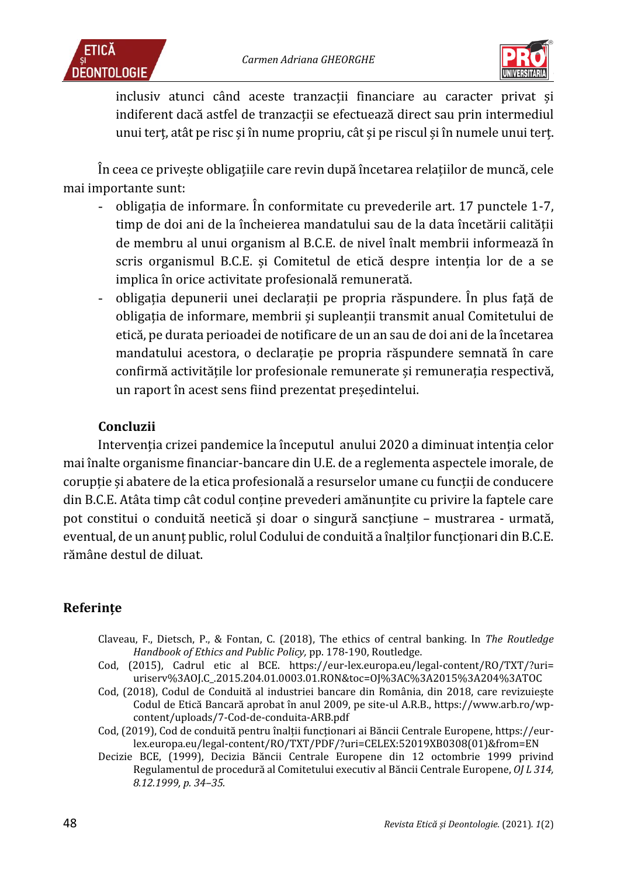



inclusiv atunci când aceste tranzacții financiare au caracter privat și indiferent dacă astfel de tranzacţii se efectuează direct sau prin intermediul unui terţ, atât pe risc și în nume propriu, cât și pe riscul și în numele unui terţ.

În ceea ce privește obligaţiile care revin după încetarea relaţiilor de muncă, cele mai importante sunt:

- obligatia de informare. În conformitate cu prevederile art. 17 punctele 1-7, timp de doi ani de la încheierea mandatului sau de la data încetării calității de membru al unui organism al B.C.E. de nivel înalt membrii informează în scris organismul B.C.E. și Comitetul de etică despre intenția lor de a se implica în orice activitate profesională remunerată.
- obligatia depunerii unei declaratii pe propria răspundere. În plus fată de obligaţia de informare, membrii și supleanţii transmit anual Comitetului de etică, pe durata perioadei de notificare de un an sau de doi ani de la încetarea mandatului acestora, o declaraţie pe propria răspundere semnată în care confirmă activitățile lor profesionale remunerațe și remunerația respectivă, un raport în acest sens fiind prezentat președintelui.

## **Concluzii**

Intervenţia crizei pandemice la începutul anului 2020 a diminuat intenţia celor mai înalte organisme financiar-bancare din U.E. de a reglementa aspectele imorale, de coruptie și abatere de la etica profesională a resurselor umane cu funcții de conducere din B.C.E. Atâta timp cât codul conţine prevederi amănunţite cu privire la faptele care pot constitui o conduită neetică și doar o singură sancţiune – mustrarea - urmată, eventual, de un anunt public, rolul Codului de conduită a înalților funcționari din B.C.E. rămâne destul de diluat.

# **Referințe**

- Claveau, F., Dietsch, P., & Fontan, C. (2018), The ethics of central banking. In *The Routledge Handbook of Ethics and Public Policy,* pp. 178-190, Routledge.
- Cod, (2015), Cadrul etic al BCE. https://eur-lex.europa.eu/legal-content/RO/TXT/?uri= uriserv%3AOJ.C\_.2015.204.01.0003.01.RON&toc=OJ%3AC%3A2015%3A204%3ATOC
- Cod, (2018), Codul de Conduită al industriei bancare din România, din 2018, care revizuiește Codul de Etică Bancară aprobat în anul 2009, pe site-ul A.R.B., https://www.arb.ro/wpcontent/uploads/7-Cod-de-conduita-ARB.pdf
- Cod, (2019), Cod de conduită pentru înalții funcționari ai Băncii Centrale Europene, https://eurlex.europa.eu/legal-content/RO/TXT/PDF/?uri=CELEX:52019XB0308(01)&from=EN
- Decizie BCE, (1999), Decizia Băncii Centrale Europene din 12 octombrie 1999 privind Regulamentul de procedură al Comitetului executiv al Băncii Centrale Europene, *OJ L 314, 8.12.1999, p. 34–35.*